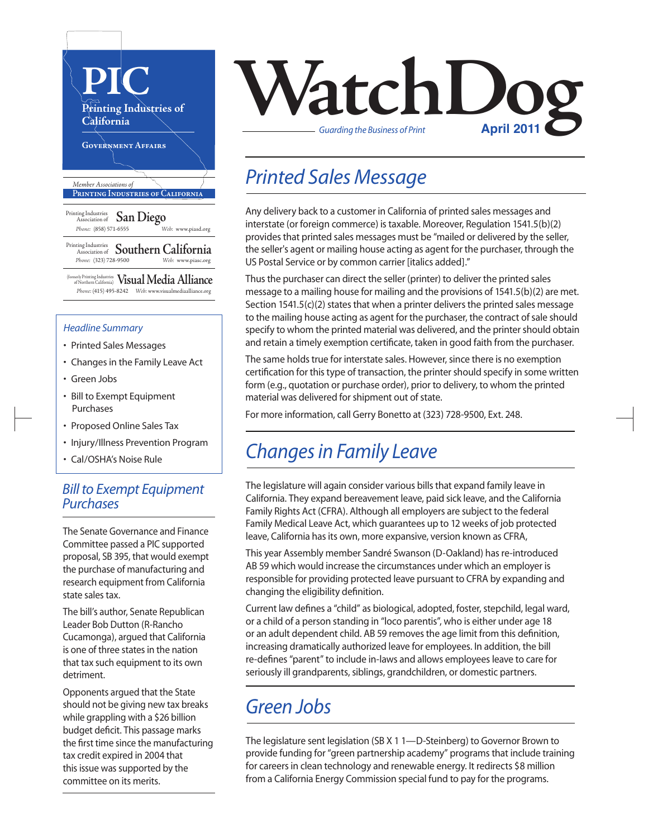

(formerly Printing Industries of Northern California) **Visual Media Alliance** *Phone:* (415) 495-8242 *Web:* www.visualmediaalliance.org

#### *Headline Summary*

- Printed Sales Messages
- Changes in the Family Leave Act
- Green Jobs
- Bill to Exempt Equipment Purchases
- Proposed Online Sales Tax
- Injury/Illness Prevention Program
- Cal/OSHA's Noise Rule

#### *Bill to Exempt Equipment Purchases*

The Senate Governance and Finance Committee passed a PIC supported proposal, SB 395, that would exempt the purchase of manufacturing and research equipment from California state sales tax.

The bill's author, Senate Republican Leader Bob Dutton (R-Rancho Cucamonga), argued that California is one of three states in the nation that tax such equipment to its own detriment.

Opponents argued that the State should not be giving new tax breaks while grappling with a \$26 billion budget deficit. This passage marks the first time since the manufacturing tax credit expired in 2004 that this issue was supported by the committee on its merits.



## *Printed Sales Message*

Any delivery back to a customer in California of printed sales messages and interstate (or foreign commerce) istaxable. Moreover, Regulation 1541.5(b)(2) provides that printed sales messages must be "mailed or delivered by the seller, the seller's agent or mailing house acting as agent for the purchaser, through the US Postal Service or by common carrier [italics added]."

Thus the purchaser can direct the seller (printer) to deliver the printed sales message to a mailing house for mailing and the provisions of 1541.5(b)(2) are met. Section  $1541.5(c)(2)$  states that when a printer delivers the printed sales message to the mailing house acting as agent for the purchaser, the contract of sale should specify to whom the printed material was delivered, and the printer should obtain and retain a timely exemption certificate, taken in good faith from the purchaser.

The same holds true for interstate sales. However, since there is no exemption certification for this type of transaction, the printer should specify in some written form (e.g., quotation or purchase order), prior to delivery, to whom the printed material was delivered for shipment out of state.

For more information, call Gerry Bonetto at (323) 728-9500, Ext. 248.

### *Changes in Family Leave*

The legislature will again consider various bills that expand family leave in California. They expand bereavement leave, paid sick leave, and the California Family Rights Act (CFRA). Although all employers are subject to the federal Family Medical Leave Act, which guarantees up to 12 weeks of job protected leave, California has its own, more expansive, version known as CFRA,

This year Assembly member Sandré Swanson (D-Oakland) has re-introduced AB 59 which would increase the circumstances under which an employer is responsible for providing protected leave pursuant to CFRA by expanding and changing the eligibility definition.

Current law defines a "child" as biological, adopted, foster, stepchild, legal ward, or a child of a person standing in "loco parentis", who is either under age 18 or an adult dependent child. AB 59 removes the age limit from this definition, increasing dramatically authorized leave for employees. In addition, the bill re-defines "parent" to include in-laws and allows employees leave to care for seriously ill grandparents, siblings, grandchildren, or domestic partners.

### *Green Jobs*

The legislature sent legislation (SB X 1 1—D-Steinberg) to Governor Brown to provide funding for "green partnership academy" programs that include training for careers in clean technology and renewable energy. It redirects \$8 million from a California Energy Commission special fund to pay for the programs.